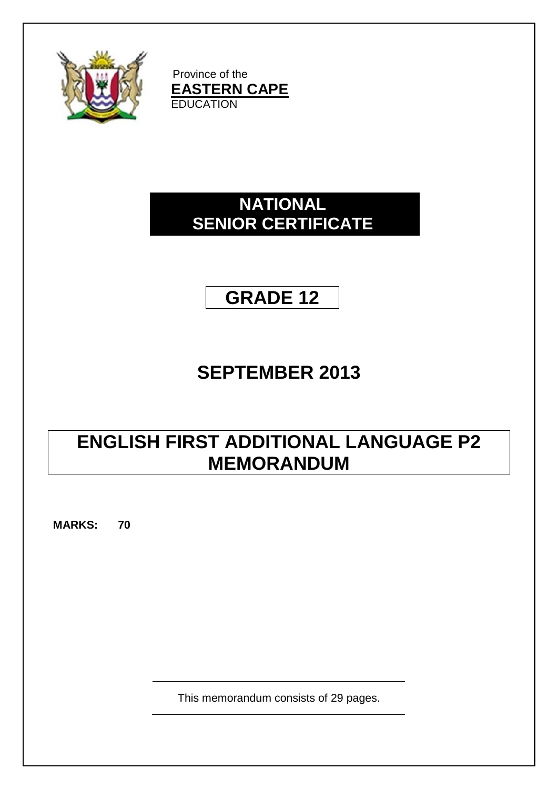

Province of the **EASTERN CAPE EDUCATION** 

# **NATIONAL SENIOR CERTIFICATE**



# **SEPTEMBER 2013**

# **ENGLISH FIRST ADDITIONAL LANGUAGE P2 MEMORANDUM**

**MARKS: 70**

This memorandum consists of 29 pages.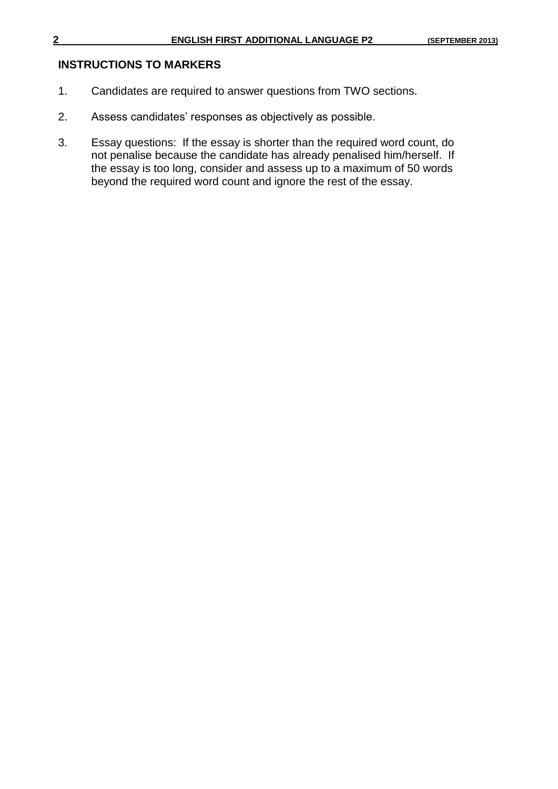#### **INSTRUCTIONS TO MARKERS**

- 1. Candidates are required to answer questions from TWO sections.
- 2. Assess candidates' responses as objectively as possible.
- 3. Essay questions: If the essay is shorter than the required word count, do not penalise because the candidate has already penalised him/herself. If the essay is too long, consider and assess up to a maximum of 50 words beyond the required word count and ignore the rest of the essay.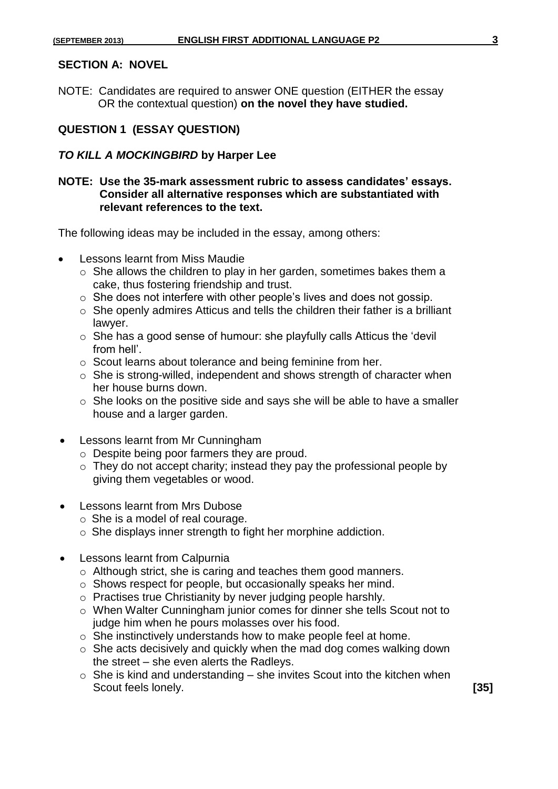#### **SECTION A: NOVEL**

NOTE: Candidates are required to answer ONE question (EITHER the essay OR the contextual question) **on the novel they have studied.**

#### **QUESTION 1 (ESSAY QUESTION)**

#### *TO KILL A MOCKINGBIRD* **by Harper Lee**

#### **NOTE: Use the 35-mark assessment rubric to assess candidates' essays. Consider all alternative responses which are substantiated with relevant references to the text.**

The following ideas may be included in the essay, among others:

- Lessons learnt from Miss Maudie
	- $\circ$  She allows the children to play in her garden, sometimes bakes them a cake, thus fostering friendship and trust.
	- o She does not interfere with other people's lives and does not gossip.
	- o She openly admires Atticus and tells the children their father is a brilliant lawyer.
	- o She has a good sense of humour: she playfully calls Atticus the 'devil from hell'.
	- o Scout learns about tolerance and being feminine from her.
	- o She is strong-willed, independent and shows strength of character when her house burns down.
	- $\circ$  She looks on the positive side and says she will be able to have a smaller house and a larger garden.
- Lessons learnt from Mr Cunningham
	- o Despite being poor farmers they are proud.
	- $\circ$  They do not accept charity; instead they pay the professional people by giving them vegetables or wood.
- Lessons learnt from Mrs Dubose
	- o She is a model of real courage.
	- o She displays inner strength to fight her morphine addiction.
- Lessons learnt from Calpurnia
	- o Although strict, she is caring and teaches them good manners.
	- o Shows respect for people, but occasionally speaks her mind.
	- o Practises true Christianity by never judging people harshly.
	- o When Walter Cunningham junior comes for dinner she tells Scout not to judge him when he pours molasses over his food.
	- o She instinctively understands how to make people feel at home.
	- $\circ$  She acts decisively and quickly when the mad dog comes walking down the street – she even alerts the Radleys.
	- $\circ$  She is kind and understanding she invites Scout into the kitchen when Scout feels lonely. **[35]**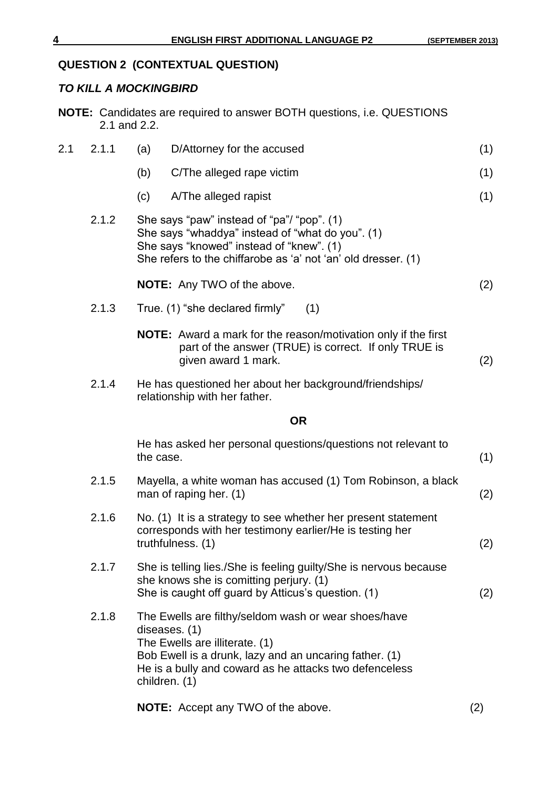## **QUESTION 2 (CONTEXTUAL QUESTION)**

#### *TO KILL A MOCKINGBIRD*

|     | 2.1 and 2.2. |               | <b>NOTE:</b> Candidates are required to answer BOTH questions, i.e. QUESTIONS                                                                                                                                               |     |
|-----|--------------|---------------|-----------------------------------------------------------------------------------------------------------------------------------------------------------------------------------------------------------------------------|-----|
| 2.1 | 2.1.1        | (a)           | D/Attorney for the accused                                                                                                                                                                                                  | (1) |
|     |              | (b)           | C/The alleged rape victim                                                                                                                                                                                                   | (1) |
|     |              | (c)           | A/The alleged rapist                                                                                                                                                                                                        | (1) |
|     | 2.1.2        |               | She says "paw" instead of "pa"/ "pop". (1)<br>She says "whaddya" instead of "what do you". (1)<br>She says "knowed" instead of "knew". (1)<br>She refers to the chiffarobe as 'a' not 'an' old dresser. (1)                 |     |
|     |              |               | <b>NOTE:</b> Any TWO of the above.                                                                                                                                                                                          | (2) |
|     | 2.1.3        |               | True. (1) "she declared firmly"<br>(1)                                                                                                                                                                                      |     |
|     |              |               | <b>NOTE:</b> Award a mark for the reason/motivation only if the first<br>part of the answer (TRUE) is correct. If only TRUE is<br>given award 1 mark.                                                                       | (2) |
|     | 2.1.4        |               | He has questioned her about her background/friendships/<br>relationship with her father.                                                                                                                                    |     |
|     |              |               | <b>OR</b>                                                                                                                                                                                                                   |     |
|     |              | the case.     | He has asked her personal questions/questions not relevant to                                                                                                                                                               | (1) |
|     | 2.1.5        |               | Mayella, a white woman has accused (1) Tom Robinson, a black<br>man of raping her. (1)                                                                                                                                      | (2) |
|     | 2.1.6        |               | No. (1) It is a strategy to see whether her present statement<br>corresponds with her testimony earlier/He is testing her<br>truthfulness. (1)                                                                              | (2) |
|     | 2.1.7        |               | She is telling lies./She is feeling guilty/She is nervous because<br>she knows she is comitting perjury. (1)<br>She is caught off guard by Atticus's question. (1)                                                          | (2) |
|     | 2.1.8        | children. (1) | The Ewells are filthy/seldom wash or wear shoes/have<br>diseases. (1)<br>The Ewells are illiterate. (1)<br>Bob Ewell is a drunk, lazy and an uncaring father. (1)<br>He is a bully and coward as he attacks two defenceless |     |
|     |              |               | <b>NOTE:</b> Accept any TWO of the above.                                                                                                                                                                                   | (2) |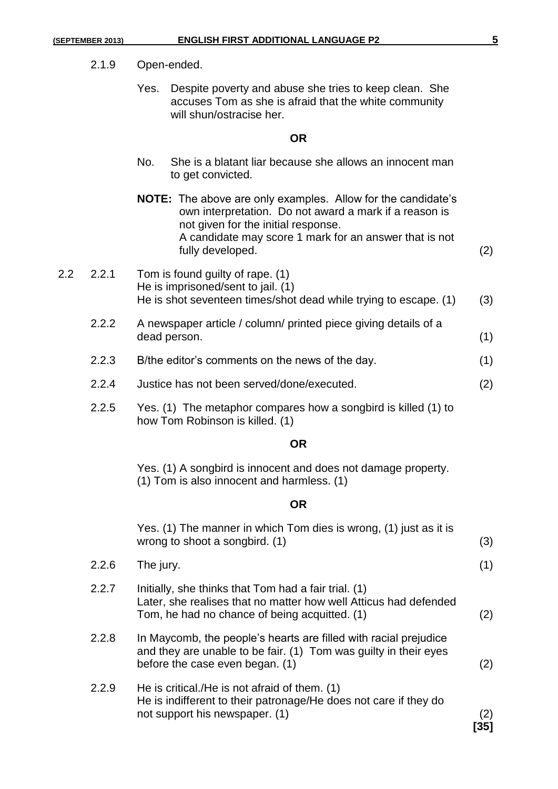Yes. Despite poverty and abuse she tries to keep clean. She accuses Tom as she is afraid that the white community will shun/ostracise her.

#### **OR**

- No. She is a blatant liar because she allows an innocent man to get convicted.
- **NOTE:** The above are only examples. Allow for the candidate's own interpretation. Do not award a mark if a reason is not given for the initial response. A candidate may score 1 mark for an answer that is not fully developed. (2)
- 2.2 2.2.1 Tom is found guilty of rape. (1) He is imprisoned/sent to jail. (1) He is shot seventeen times/shot dead while trying to escape. (1) (3)
	- 2.2.2 A newspaper article / column/ printed piece giving details of a dead person. (1)
	- 2.2.3 B/the editor's comments on the news of the day. (1)
	- 2.2.4 Justice has not been served/done/executed. (2)
	- 2.2.5 Yes. (1) The metaphor compares how a songbird is killed (1) to how Tom Robinson is killed. (1)

#### **OR**

Yes. (1) A songbird is innocent and does not damage property. (1) Tom is also innocent and harmless. (1)

#### **OR**

|       | Yes. (1) The manner in which Tom dies is wrong, (1) just as it is<br>wrong to shoot a songbird. (1)                                                                       | (3)        |
|-------|---------------------------------------------------------------------------------------------------------------------------------------------------------------------------|------------|
| 2.2.6 | The jury.                                                                                                                                                                 | (1)        |
| 2.2.7 | Initially, she thinks that Tom had a fair trial. (1)<br>Later, she realises that no matter how well Atticus had defended<br>Tom, he had no chance of being acquitted. (1) | (2)        |
| 2.2.8 | In Maycomb, the people's hearts are filled with racial prejudice<br>and they are unable to be fair. (1) Tom was guilty in their eyes<br>before the case even began. (1)   | (2)        |
| 2.2.9 | He is critical./He is not afraid of them. (1)<br>He is indifferent to their patronage/He does not care if they do<br>not support his newspaper. (1)                       | (2)<br>351 |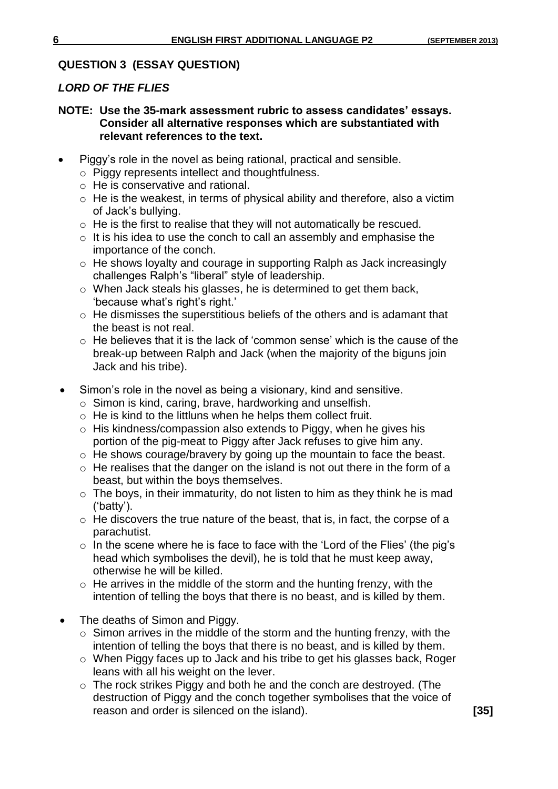#### **QUESTION 3 (ESSAY QUESTION)**

#### *LORD OF THE FLIES*

#### **NOTE: Use the 35-mark assessment rubric to assess candidates' essays. Consider all alternative responses which are substantiated with relevant references to the text.**

- Piggy's role in the novel as being rational, practical and sensible.
	- o Piggy represents intellect and thoughtfulness.
	- o He is conservative and rational.
	- $\circ$  He is the weakest, in terms of physical ability and therefore, also a victim of Jack's bullying.
	- o He is the first to realise that they will not automatically be rescued.
	- $\circ$  It is his idea to use the conch to call an assembly and emphasise the importance of the conch.
	- o He shows loyalty and courage in supporting Ralph as Jack increasingly challenges Ralph's "liberal" style of leadership.
	- o When Jack steals his glasses, he is determined to get them back, 'because what's right's right.'
	- o He dismisses the superstitious beliefs of the others and is adamant that the beast is not real.
	- $\circ$  He believes that it is the lack of 'common sense' which is the cause of the break-up between Ralph and Jack (when the majority of the biguns join Jack and his tribe).
- Simon's role in the novel as being a visionary, kind and sensitive.
	- o Simon is kind, caring, brave, hardworking and unselfish.
	- $\circ$  He is kind to the littluns when he helps them collect fruit.
	- o His kindness/compassion also extends to Piggy, when he gives his portion of the pig-meat to Piggy after Jack refuses to give him any.
	- o He shows courage/bravery by going up the mountain to face the beast.
	- $\circ$  He realises that the danger on the island is not out there in the form of a beast, but within the boys themselves.
	- $\circ$  The boys, in their immaturity, do not listen to him as they think he is mad ('batty').
	- o He discovers the true nature of the beast, that is, in fact, the corpse of a parachutist.
	- $\circ$  In the scene where he is face to face with the 'Lord of the Flies' (the pig's head which symbolises the devil), he is told that he must keep away, otherwise he will be killed.
	- o He arrives in the middle of the storm and the hunting frenzy, with the intention of telling the boys that there is no beast, and is killed by them.
- The deaths of Simon and Piggy.
	- $\circ$  Simon arrives in the middle of the storm and the hunting frenzy, with the intention of telling the boys that there is no beast, and is killed by them.
	- o When Piggy faces up to Jack and his tribe to get his glasses back, Roger leans with all his weight on the lever.
	- o The rock strikes Piggy and both he and the conch are destroyed. (The destruction of Piggy and the conch together symbolises that the voice of reason and order is silenced on the island). **[35]**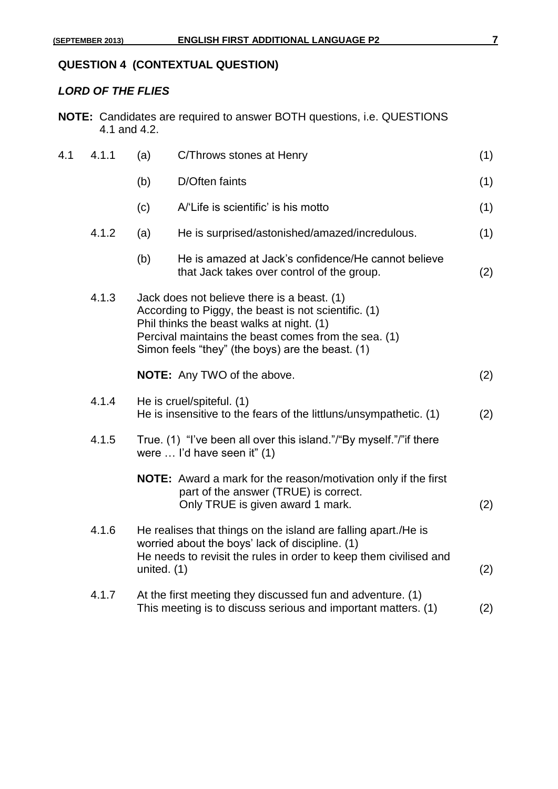# **QUESTION 4 (CONTEXTUAL QUESTION)**

## *LORD OF THE FLIES*

| <b>NOTE:</b> Candidates are required to answer BOTH questions, i.e. QUESTIONS |
|-------------------------------------------------------------------------------|
| 4.1 and 4.2.                                                                  |

| 4.1 | 4.1.1 | (a)           | C/Throws stones at Henry                                                                                                                                                                                                                                     | (1) |
|-----|-------|---------------|--------------------------------------------------------------------------------------------------------------------------------------------------------------------------------------------------------------------------------------------------------------|-----|
|     |       | (b)           | D/Often faints                                                                                                                                                                                                                                               | (1) |
|     |       | (c)           | A/'Life is scientific' is his motto                                                                                                                                                                                                                          | (1) |
|     | 4.1.2 | (a)           | He is surprised/astonished/amazed/incredulous.                                                                                                                                                                                                               | (1) |
|     |       | (b)           | He is amazed at Jack's confidence/He cannot believe<br>that Jack takes over control of the group.                                                                                                                                                            | (2) |
|     | 4.1.3 |               | Jack does not believe there is a beast. (1)<br>According to Piggy, the beast is not scientific. (1)<br>Phil thinks the beast walks at night. (1)<br>Percival maintains the beast comes from the sea. (1)<br>Simon feels "they" (the boys) are the beast. (1) |     |
|     |       |               | <b>NOTE:</b> Any TWO of the above.                                                                                                                                                                                                                           | (2) |
|     | 4.1.4 |               | He is cruel/spiteful. (1)<br>He is insensitive to the fears of the littluns/unsympathetic. (1)                                                                                                                                                               | (2) |
|     | 4.1.5 |               | True. (1) "I've been all over this island."/"By myself."/" if there<br>were  I'd have seen it" (1)                                                                                                                                                           |     |
|     |       |               | <b>NOTE:</b> Award a mark for the reason/motivation only if the first<br>part of the answer (TRUE) is correct.<br>Only TRUE is given award 1 mark.                                                                                                           | (2) |
|     | 4.1.6 | united. $(1)$ | He realises that things on the island are falling apart./He is<br>worried about the boys' lack of discipline. (1)<br>He needs to revisit the rules in order to keep them civilised and                                                                       | (2) |
|     | 4.1.7 |               | At the first meeting they discussed fun and adventure. (1)<br>This meeting is to discuss serious and important matters. (1)                                                                                                                                  | (2) |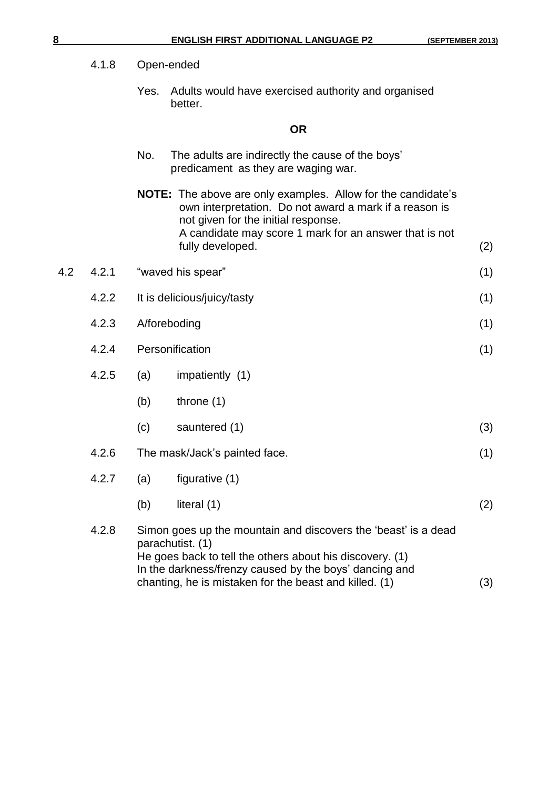Yes. Adults would have exercised authority and organised better.

#### **OR**

| No. | The adults are indirectly the cause of the boys' |
|-----|--------------------------------------------------|
|     | predicament as they are waging war.              |

**NOTE:** The above are only examples. Allow for the candidate's own interpretation. Do not award a mark if a reason is not given for the initial response. A candidate may score 1 mark for an answer that is not fully developed. (2)

|  |  | 4.2 4.2.1 "waved his spear" |  |  |  |
|--|--|-----------------------------|--|--|--|
|--|--|-----------------------------|--|--|--|

- 4.2.2 It is delicious/juicy/tasty (1)
- 4.2.3 A/foreboding (1)
- 4.2.4 Personification (1)
- 4.2.5 (a) impatiently (1)
	- (b) throne (1)
	- $(c)$  sauntered  $(1)$  (3)
- 4.2.6 The mask/Jack's painted face. (1)
- 4.2.7 (a) figurative (1)
	- (b) literal  $(1)$  (2)
- 4.2.8 Simon goes up the mountain and discovers the 'beast' is a dead parachutist. (1) He goes back to tell the others about his discovery. (1) In the darkness/frenzy caused by the boys' dancing and chanting, he is mistaken for the beast and killed. (1) (3)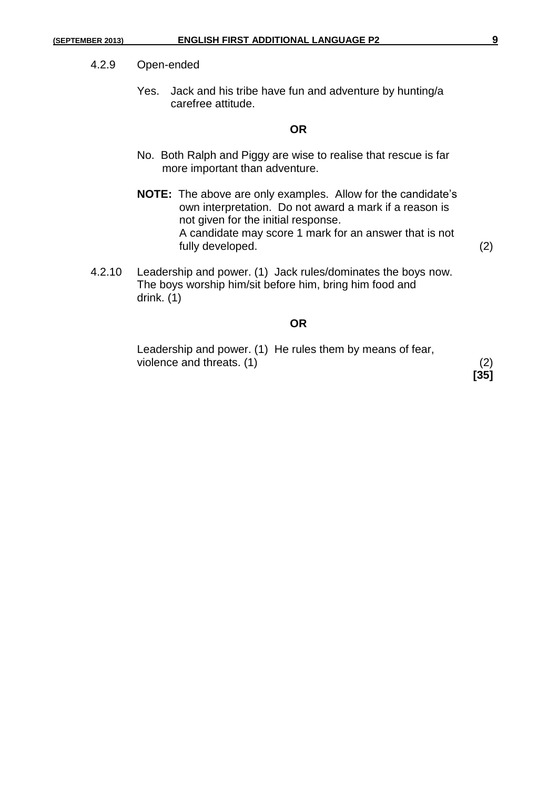#### 4.2.9 Open-ended

Yes. Jack and his tribe have fun and adventure by hunting/a carefree attitude.

#### **OR**

- No. Both Ralph and Piggy are wise to realise that rescue is far more important than adventure.
- **NOTE:** The above are only examples. Allow for the candidate's own interpretation. Do not award a mark if a reason is not given for the initial response. A candidate may score 1 mark for an answer that is not fully developed. (2)
- 4.2.10 Leadership and power. (1) Jack rules/dominates the boys now. The boys worship him/sit before him, bring him food and drink. (1)

#### **OR**

Leadership and power. (1) He rules them by means of fear, violence and threats.  $(1)$  (2)

**[35]**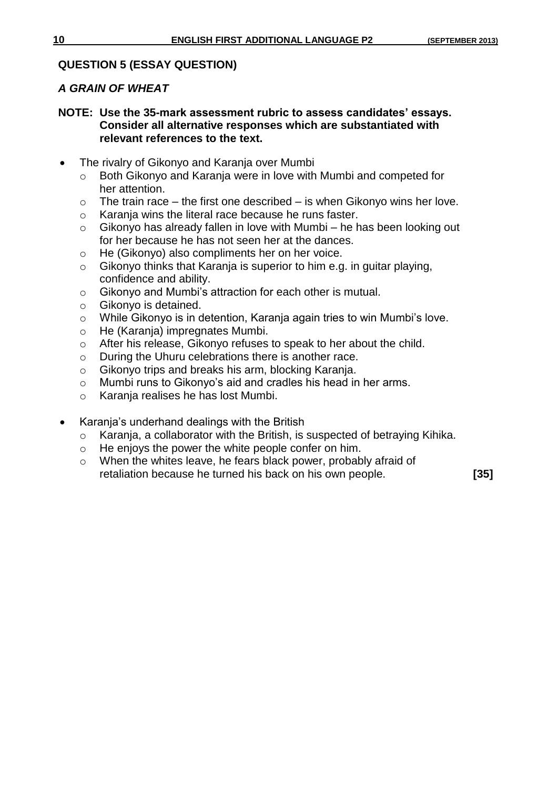#### **QUESTION 5 (ESSAY QUESTION)**

#### *A GRAIN OF WHEAT*

#### **NOTE: Use the 35-mark assessment rubric to assess candidates' essays. Consider all alternative responses which are substantiated with relevant references to the text.**

- The rivalry of Gikonyo and Karanja over Mumbi
	- o Both Gikonyo and Karanja were in love with Mumbi and competed for her attention.
	- $\circ$  The train race the first one described is when Gikonyo wins her love.
	- o Karanja wins the literal race because he runs faster.
	- o Gikonyo has already fallen in love with Mumbi he has been looking out for her because he has not seen her at the dances.
	- o He (Gikonyo) also compliments her on her voice.
	- o Gikonyo thinks that Karanja is superior to him e.g. in guitar playing, confidence and ability.
	- o Gikonyo and Mumbi's attraction for each other is mutual.
	- o Gikonyo is detained.
	- o While Gikonyo is in detention, Karanja again tries to win Mumbi's love.
	- o He (Karanja) impregnates Mumbi.
	- o After his release, Gikonyo refuses to speak to her about the child.
	- o During the Uhuru celebrations there is another race.
	- o Gikonyo trips and breaks his arm, blocking Karanja.
	- o Mumbi runs to Gikonyo's aid and cradles his head in her arms.
	- o Karanja realises he has lost Mumbi.
- Karanja's underhand dealings with the British
	- o Karanja, a collaborator with the British, is suspected of betraying Kihika.
	- o He enjoys the power the white people confer on him.
	- o When the whites leave, he fears black power, probably afraid of retaliation because he turned his back on his own people. **[35]**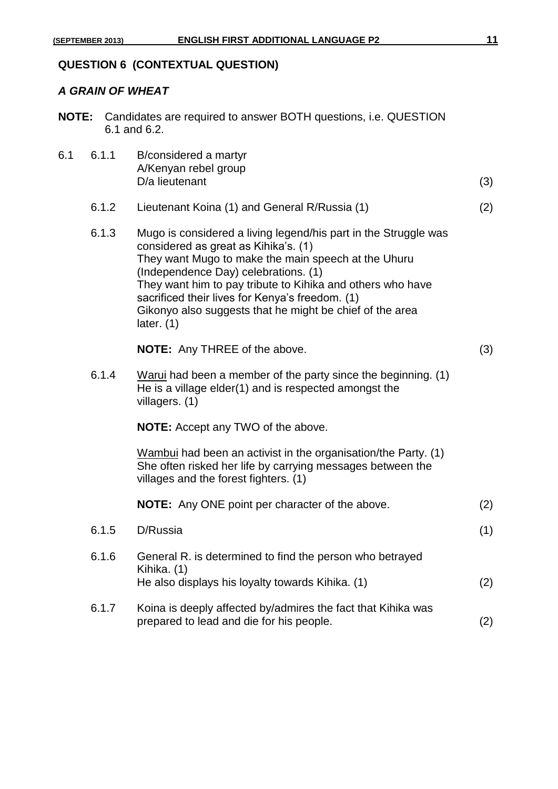#### *A GRAIN OF WHEAT*

| <b>NOTE:</b> Candidates are required to answer BOTH questions, i.e. QUESTION |
|------------------------------------------------------------------------------|
| 6.1 and 6.2.                                                                 |

| 6.1 | 6.1.1 | B/considered a martyr<br>A/Kenyan rebel group |     |
|-----|-------|-----------------------------------------------|-----|
|     |       | D/a lieutenant                                | (3) |

6.1.2 Lieutenant Koina (1) and General R/Russia (1) (2)

| 6.1.3 | Mugo is considered a living legend/his part in the Struggle was |  |
|-------|-----------------------------------------------------------------|--|
|       | considered as great as Kihika's. (1)                            |  |
|       | They want Mugo to make the main speech at the Uhuru             |  |
|       | (Independence Day) celebrations. (1)                            |  |
|       | They want him to pay tribute to Kihika and others who have      |  |
|       | sacrificed their lives for Kenya's freedom. (1)                 |  |
|       | Gikonyo also suggests that he might be chief of the area        |  |
|       | later. $(1)$                                                    |  |
|       |                                                                 |  |

**NOTE:** Any THREE of the above. (3)

6.1.4 Warui had been a member of the party since the beginning. (1) He is a village elder(1) and is respected amongst the villagers. (1)

**NOTE:** Accept any TWO of the above.

Wambui had been an activist in the organisation/the Party. (1) She often risked her life by carrying messages between the villages and the forest fighters. (1)

|       | <b>NOTE:</b> Any ONE point per character of the above.                                                                      | (2) |
|-------|-----------------------------------------------------------------------------------------------------------------------------|-----|
| 6.1.5 | D/Russia                                                                                                                    | (1) |
| 6.1.6 | General R. is determined to find the person who betrayed<br>Kihika. (1)<br>He also displays his loyalty towards Kihika. (1) | (2) |
| 6.1.7 | Koina is deeply affected by/admires the fact that Kihika was<br>prepared to lead and die for his people.                    |     |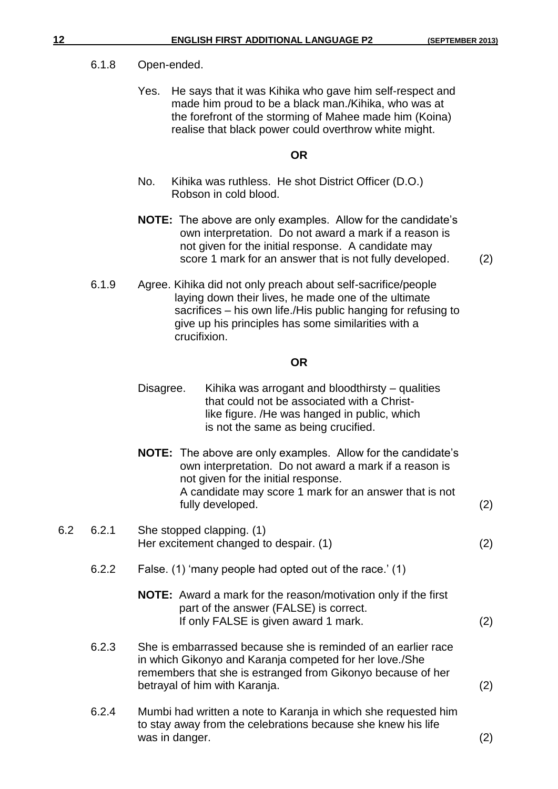#### 6.1.8 Open-ended.

Yes. He says that it was Kihika who gave him self-respect and made him proud to be a black man./Kihika, who was at the forefront of the storming of Mahee made him (Koina) realise that black power could overthrow white might.

#### **OR**

- No. Kihika was ruthless. He shot District Officer (D.O.) Robson in cold blood.
- **NOTE:** The above are only examples. Allow for the candidate's own interpretation. Do not award a mark if a reason is not given for the initial response. A candidate may score 1 mark for an answer that is not fully developed. (2)

6.1.9 Agree. Kihika did not only preach about self-sacrifice/people laying down their lives, he made one of the ultimate sacrifices – his own life./His public hanging for refusing to give up his principles has some similarities with a crucifixion.

#### **OR**

| Disagree. | Kihika was arrogant and bloodthirsty – qualities |
|-----------|--------------------------------------------------|
|           | that could not be associated with a Christ-      |
|           | like figure. /He was hanged in public, which     |
|           | is not the same as being crucified.              |

**NOTE:** The above are only examples. Allow for the candidate's own interpretation. Do not award a mark if a reason is not given for the initial response. A candidate may score 1 mark for an answer that is not fully developed. (2)

#### 6.2 6.2.1 She stopped clapping. (1) Her excitement changed to despair. (1) (2)

- 6.2.2 False. (1) 'many people had opted out of the race.' (1)
	- **NOTE:** Award a mark for the reason/motivation only if the first part of the answer (FALSE) is correct. If only FALSE is given award 1 mark. (2)
- 6.2.3 She is embarrassed because she is reminded of an earlier race in which Gikonyo and Karanja competed for her love./She remembers that she is estranged from Gikonyo because of her betrayal of him with Karanja. (2)
- 6.2.4 Mumbi had written a note to Karanja in which she requested him to stay away from the celebrations because she knew his life was in danger. (2)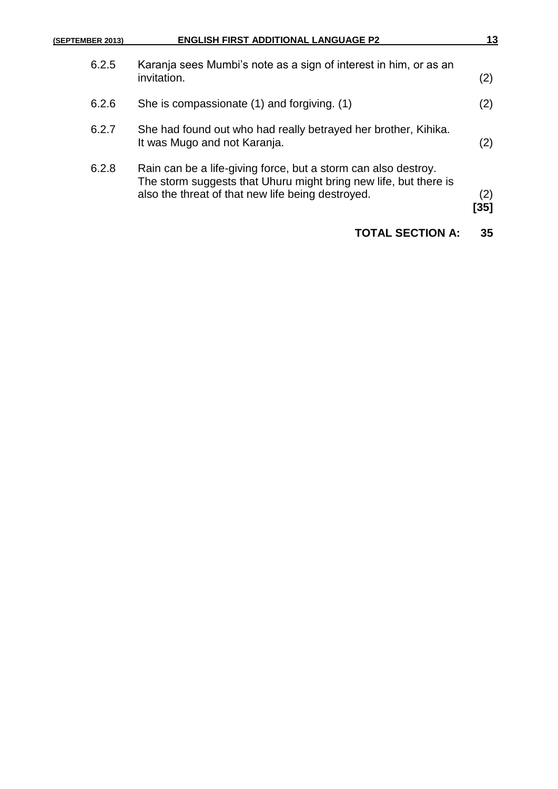| (SEPTEMBER 2013) | <b>ENGLISH FIRST ADDITIONAL LANGUAGE P2</b>                                                                                                                                             | 13          |
|------------------|-----------------------------------------------------------------------------------------------------------------------------------------------------------------------------------------|-------------|
| 6.2.5            | Karanja sees Mumbi's note as a sign of interest in him, or as an<br>invitation.                                                                                                         | (2)         |
| 6.2.6            | She is compassionate (1) and forgiving. (1)                                                                                                                                             | (2)         |
| 6.2.7            | She had found out who had really betrayed her brother, Kihika.<br>It was Mugo and not Karanja.                                                                                          | (2)         |
| 6.2.8            | Rain can be a life-giving force, but a storm can also destroy.<br>The storm suggests that Uhuru might bring new life, but there is<br>also the threat of that new life being destroyed. | (2)<br>[35] |
|                  | <b>TOTAL SECTION A:</b>                                                                                                                                                                 | 35          |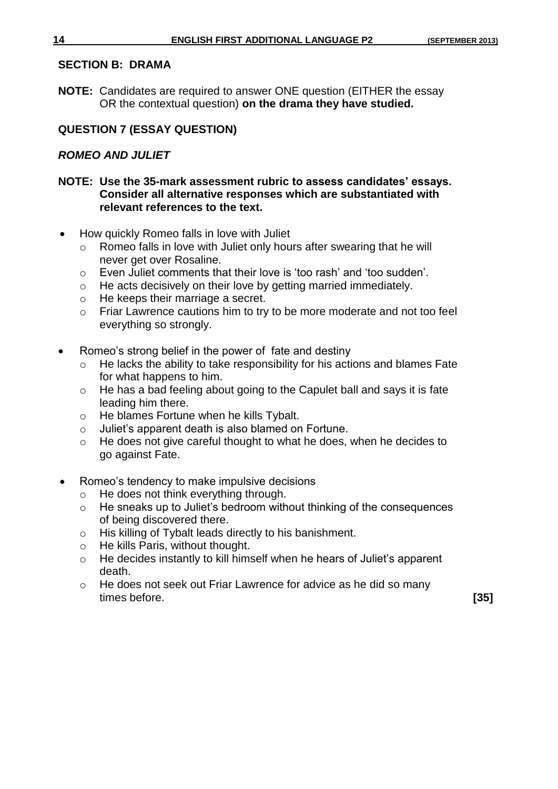#### **SECTION B: DRAMA**

**NOTE:** Candidates are required to answer ONE question (EITHER the essay OR the contextual question) **on the drama they have studied.**

#### **QUESTION 7 (ESSAY QUESTION)**

#### *ROMEO AND JULIET*

#### **NOTE: Use the 35-mark assessment rubric to assess candidates' essays. Consider all alternative responses which are substantiated with relevant references to the text.**

- How quickly Romeo falls in love with Juliet
	- o Romeo falls in love with Juliet only hours after swearing that he will never get over Rosaline.
	- o Even Juliet comments that their love is 'too rash' and 'too sudden'.
	- o He acts decisively on their love by getting married immediately.
	- o He keeps their marriage a secret.
	- o Friar Lawrence cautions him to try to be more moderate and not too feel everything so strongly.
- Romeo's strong belief in the power of fate and destiny
	- o He lacks the ability to take responsibility for his actions and blames Fate for what happens to him.
	- o He has a bad feeling about going to the Capulet ball and says it is fate leading him there.
	- o He blames Fortune when he kills Tybalt.
	- o Juliet's apparent death is also blamed on Fortune.
	- o He does not give careful thought to what he does, when he decides to go against Fate.
- Romeo's tendency to make impulsive decisions
	- o He does not think everything through.
	- o He sneaks up to Juliet's bedroom without thinking of the consequences of being discovered there.
	- o His killing of Tybalt leads directly to his banishment.
	- o He kills Paris, without thought.
	- o He decides instantly to kill himself when he hears of Juliet's apparent death.
	- o He does not seek out Friar Lawrence for advice as he did so many times before. **[35]**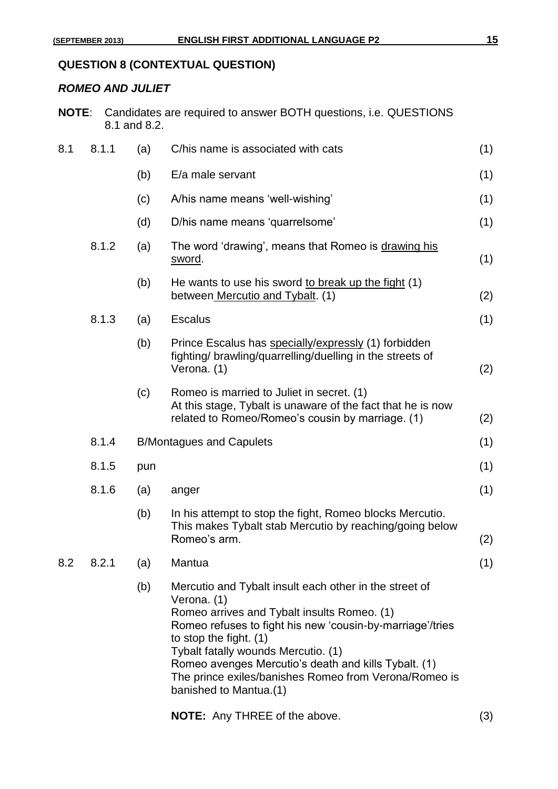### **QUESTION 8 (CONTEXTUAL QUESTION)**

#### *ROMEO AND JULIET*

| <b>NOTE:</b> |       | 8.1 and 8.2. |     | Candidates are required to answer BOTH questions, i.e. QUESTIONS                                                                                                                                                                                                                                                                                                                              |     |
|--------------|-------|--------------|-----|-----------------------------------------------------------------------------------------------------------------------------------------------------------------------------------------------------------------------------------------------------------------------------------------------------------------------------------------------------------------------------------------------|-----|
| 8.1          | 8.1.1 |              | (a) | C/his name is associated with cats                                                                                                                                                                                                                                                                                                                                                            | (1) |
|              |       |              | (b) | E/a male servant                                                                                                                                                                                                                                                                                                                                                                              | (1) |
|              |       |              | (c) | A/his name means 'well-wishing'                                                                                                                                                                                                                                                                                                                                                               | (1) |
|              |       |              | (d) | D/his name means 'quarrelsome'                                                                                                                                                                                                                                                                                                                                                                | (1) |
|              | 8.1.2 |              | (a) | The word 'drawing', means that Romeo is drawing his<br><u>sword</u> .                                                                                                                                                                                                                                                                                                                         | (1) |
|              |       |              | (b) | He wants to use his sword to break up the fight (1)<br>between Mercutio and Tybalt. (1)                                                                                                                                                                                                                                                                                                       | (2) |
|              | 8.1.3 |              | (a) | <b>Escalus</b>                                                                                                                                                                                                                                                                                                                                                                                | (1) |
|              |       |              | (b) | Prince Escalus has specially/expressly (1) forbidden<br>fighting/brawling/quarrelling/duelling in the streets of<br>Verona. (1)                                                                                                                                                                                                                                                               | (2) |
|              |       |              | (c) | Romeo is married to Juliet in secret. (1)<br>At this stage, Tybalt is unaware of the fact that he is now<br>related to Romeo/Romeo's cousin by marriage. (1)                                                                                                                                                                                                                                  | (2) |
|              | 8.1.4 |              |     | <b>B/Montagues and Capulets</b>                                                                                                                                                                                                                                                                                                                                                               | (1) |
|              | 8.1.5 |              | pun |                                                                                                                                                                                                                                                                                                                                                                                               | (1) |
|              | 8.1.6 |              | (a) | anger                                                                                                                                                                                                                                                                                                                                                                                         | (1) |
|              |       |              | (b) | In his attempt to stop the fight, Romeo blocks Mercutio.<br>This makes Tybalt stab Mercutio by reaching/going below<br>Romeo's arm.                                                                                                                                                                                                                                                           | (2) |
| 8.2          | 8.2.1 |              | (a) | Mantua                                                                                                                                                                                                                                                                                                                                                                                        | (1) |
|              |       |              | (b) | Mercutio and Tybalt insult each other in the street of<br>Verona. (1)<br>Romeo arrives and Tybalt insults Romeo. (1)<br>Romeo refuses to fight his new 'cousin-by-marriage'/tries<br>to stop the fight. (1)<br>Tybalt fatally wounds Mercutio. (1)<br>Romeo avenges Mercutio's death and kills Tybalt. (1)<br>The prince exiles/banishes Romeo from Verona/Romeo is<br>banished to Mantua.(1) |     |

**NOTE:** Any THREE of the above. (3)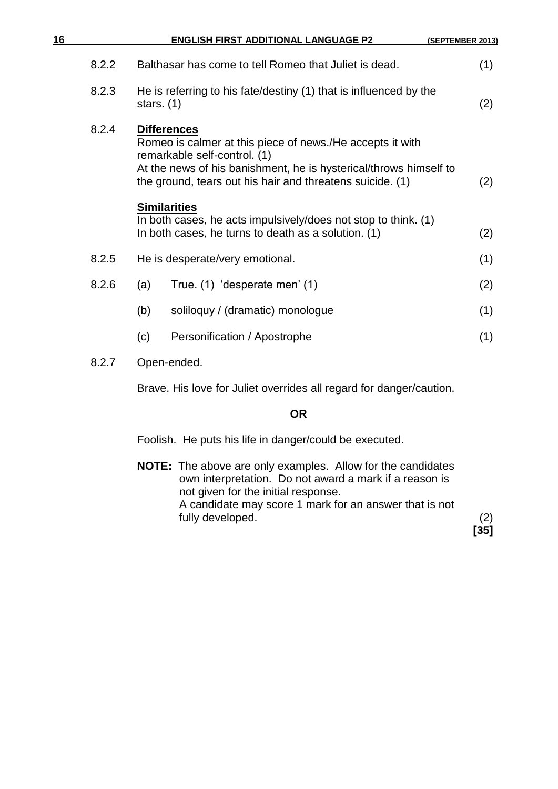| 16    |              | <b>ENGLISH FIRST ADDITIONAL LANGUAGE P2</b>                                                                                                                                                                                                       | (SEPTEMBER 2013) |
|-------|--------------|---------------------------------------------------------------------------------------------------------------------------------------------------------------------------------------------------------------------------------------------------|------------------|
| 8.2.2 |              | Balthasar has come to tell Romeo that Juliet is dead.                                                                                                                                                                                             | (1)              |
| 8.2.3 | stars. $(1)$ | He is referring to his fate/destiny (1) that is influenced by the                                                                                                                                                                                 | (2)              |
| 8.2.4 |              | <b>Differences</b><br>Romeo is calmer at this piece of news./He accepts it with<br>remarkable self-control. (1)<br>At the news of his banishment, he is hysterical/throws himself to<br>the ground, tears out his hair and threatens suicide. (1) | (2)              |
|       |              | <b>Similarities</b><br>In both cases, he acts impulsively/does not stop to think. (1)<br>In both cases, he turns to death as a solution. (1)                                                                                                      | (2)              |
| 8.2.5 |              | He is desperate/very emotional.                                                                                                                                                                                                                   | (1)              |
| 8.2.6 | (a)          | True. (1) 'desperate men' (1)                                                                                                                                                                                                                     | (2)              |
|       | (b)          | soliloquy / (dramatic) monologue                                                                                                                                                                                                                  | (1)              |
|       | (c)          | Personification / Apostrophe                                                                                                                                                                                                                      | (1)              |
| 8.2.7 |              | Open-ended.                                                                                                                                                                                                                                       |                  |

Brave. His love for Juliet overrides all regard for danger/caution.

#### **OR**

Foolish. He puts his life in danger/could be executed.

**NOTE:** The above are only examples. Allow for the candidates own interpretation. Do not award a mark if a reason is not given for the initial response. A candidate may score 1 mark for an answer that is not fully developed. (2) **[35]**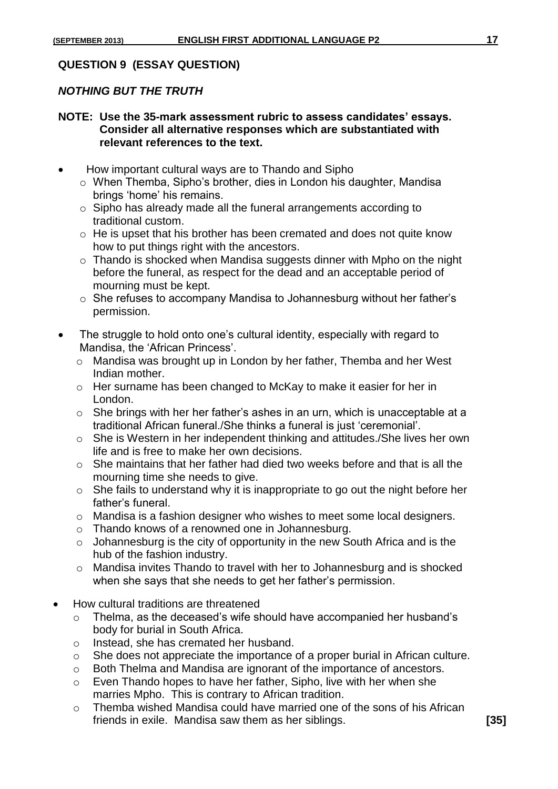#### **QUESTION 9 (ESSAY QUESTION)**

#### *NOTHING BUT THE TRUTH*

#### **NOTE: Use the 35-mark assessment rubric to assess candidates' essays. Consider all alternative responses which are substantiated with relevant references to the text.**

- How important cultural ways are to Thando and Sipho
	- o When Themba, Sipho's brother, dies in London his daughter, Mandisa brings 'home' his remains.
	- o Sipho has already made all the funeral arrangements according to traditional custom.
	- o He is upset that his brother has been cremated and does not quite know how to put things right with the ancestors.
	- $\circ$  Thando is shocked when Mandisa suggests dinner with Mpho on the night before the funeral, as respect for the dead and an acceptable period of mourning must be kept.
	- o She refuses to accompany Mandisa to Johannesburg without her father's permission.
- The struggle to hold onto one's cultural identity, especially with regard to Mandisa, the 'African Princess'.
	- o Mandisa was brought up in London by her father, Themba and her West Indian mother.
	- o Her surname has been changed to McKay to make it easier for her in London.
	- $\circ$  She brings with her her father's ashes in an urn, which is unacceptable at a traditional African funeral./She thinks a funeral is just 'ceremonial'.
	- o She is Western in her independent thinking and attitudes./She lives her own life and is free to make her own decisions.
	- $\circ$  She maintains that her father had died two weeks before and that is all the mourning time she needs to give.
	- o She fails to understand why it is inappropriate to go out the night before her father's funeral.
	- o Mandisa is a fashion designer who wishes to meet some local designers.
	- o Thando knows of a renowned one in Johannesburg.
	- $\circ$  Johannesburg is the city of opportunity in the new South Africa and is the hub of the fashion industry.
	- o Mandisa invites Thando to travel with her to Johannesburg and is shocked when she says that she needs to get her father's permission.
- How cultural traditions are threatened
	- o Thelma, as the deceased's wife should have accompanied her husband's body for burial in South Africa.
	- o Instead, she has cremated her husband.
	- o She does not appreciate the importance of a proper burial in African culture.
	- o Both Thelma and Mandisa are ignorant of the importance of ancestors.
	- o Even Thando hopes to have her father, Sipho, live with her when she marries Mpho. This is contrary to African tradition.
	- o Themba wished Mandisa could have married one of the sons of his African friends in exile. Mandisa saw them as her siblings. **[35]**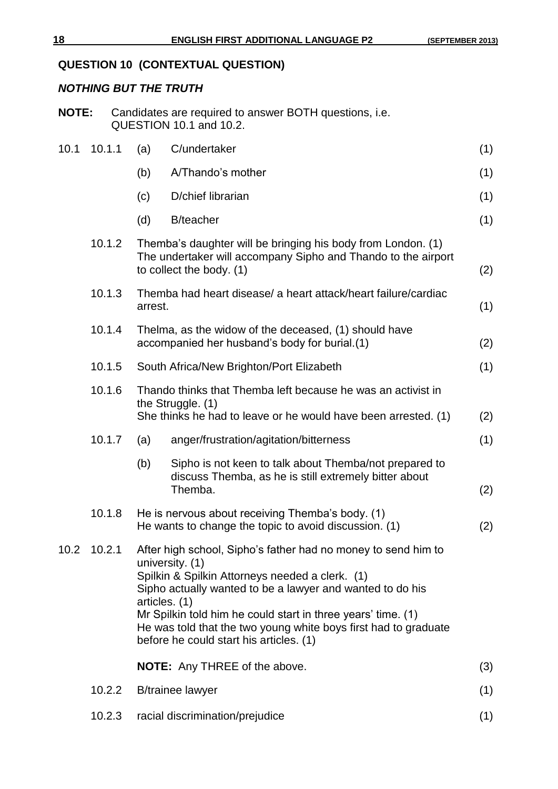## **QUESTION 10 (CONTEXTUAL QUESTION)**

#### *NOTHING BUT THE TRUTH*

| <b>NOTE:</b> Candidates are required to answer BOTH questions, i.e. |
|---------------------------------------------------------------------|
| QUESTION 10.1 and 10.2.                                             |

| 10.1 | 10.1.1 | (a)     | C/undertaker                                                                                                                                                                                                                                                                                                                                                                                    | (1) |
|------|--------|---------|-------------------------------------------------------------------------------------------------------------------------------------------------------------------------------------------------------------------------------------------------------------------------------------------------------------------------------------------------------------------------------------------------|-----|
|      |        | (b)     | A/Thando's mother                                                                                                                                                                                                                                                                                                                                                                               | (1) |
|      |        | (c)     | D/chief librarian                                                                                                                                                                                                                                                                                                                                                                               | (1) |
|      |        | (d)     | <b>B</b> /teacher                                                                                                                                                                                                                                                                                                                                                                               | (1) |
|      | 10.1.2 |         | Themba's daughter will be bringing his body from London. (1)<br>The undertaker will accompany Sipho and Thando to the airport<br>to collect the body. (1)                                                                                                                                                                                                                                       | (2) |
|      | 10.1.3 | arrest. | Themba had heart disease/ a heart attack/heart failure/cardiac                                                                                                                                                                                                                                                                                                                                  | (1) |
|      | 10.1.4 |         | Thelma, as the widow of the deceased, (1) should have<br>accompanied her husband's body for burial.(1)                                                                                                                                                                                                                                                                                          | (2) |
|      | 10.1.5 |         | South Africa/New Brighton/Port Elizabeth                                                                                                                                                                                                                                                                                                                                                        | (1) |
|      | 10.1.6 |         | Thando thinks that Themba left because he was an activist in<br>the Struggle. (1)<br>She thinks he had to leave or he would have been arrested. (1)                                                                                                                                                                                                                                             | (2) |
|      | 10.1.7 | (a)     | anger/frustration/agitation/bitterness                                                                                                                                                                                                                                                                                                                                                          | (1) |
|      |        | (b)     | Sipho is not keen to talk about Themba/not prepared to<br>discuss Themba, as he is still extremely bitter about<br>Themba.                                                                                                                                                                                                                                                                      | (2) |
|      | 10.1.8 |         | He is nervous about receiving Themba's body. (1)<br>He wants to change the topic to avoid discussion. (1)                                                                                                                                                                                                                                                                                       | (2) |
| 10.2 | 10.2.1 |         | After high school, Sipho's father had no money to send him to<br>university. (1)<br>Spilkin & Spilkin Attorneys needed a clerk. (1)<br>Sipho actually wanted to be a lawyer and wanted to do his<br>articles. (1)<br>Mr Spilkin told him he could start in three years' time. (1)<br>He was told that the two young white boys first had to graduate<br>before he could start his articles. (1) |     |
|      |        |         | <b>NOTE:</b> Any THREE of the above.                                                                                                                                                                                                                                                                                                                                                            | (3) |
|      | 10.2.2 |         | <b>B</b> /trainee lawyer                                                                                                                                                                                                                                                                                                                                                                        | (1) |
|      | 10.2.3 |         | racial discrimination/prejudice                                                                                                                                                                                                                                                                                                                                                                 | (1) |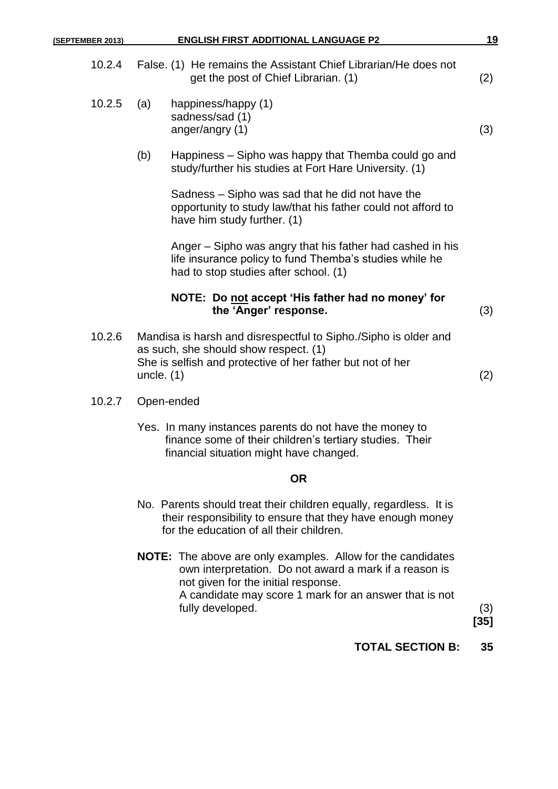| 10.2.4 |              | False. (1) He remains the Assistant Chief Librarian/He does not<br>get the post of Chief Librarian. (1)                                                                | (2) |
|--------|--------------|------------------------------------------------------------------------------------------------------------------------------------------------------------------------|-----|
| 10.2.5 | (a)          | happiness/happy (1)<br>sadness/sad (1)<br>anger/angry (1)                                                                                                              | (3) |
|        | (b)          | Happiness - Sipho was happy that Themba could go and<br>study/further his studies at Fort Hare University. (1)                                                         |     |
|        |              | Sadness – Sipho was sad that he did not have the<br>opportunity to study law/that his father could not afford to<br>have him study further. (1)                        |     |
|        |              | Anger – Sipho was angry that his father had cashed in his<br>life insurance policy to fund Themba's studies while he<br>had to stop studies after school. (1)          |     |
|        |              | NOTE: Do not accept 'His father had no money' for<br>the 'Anger' response.                                                                                             | (3) |
| 10.2.6 | uncle. $(1)$ | Mandisa is harsh and disrespectful to Sipho./Sipho is older and<br>as such, she should show respect. (1)<br>She is selfish and protective of her father but not of her | (2) |

- 10.2.7 Open-ended
	- Yes. In many instances parents do not have the money to finance some of their children's tertiary studies. Their financial situation might have changed.

#### **OR**

- No. Parents should treat their children equally, regardless. It is their responsibility to ensure that they have enough money for the education of all their children.
- **NOTE:** The above are only examples. Allow for the candidates own interpretation. Do not award a mark if a reason is not given for the initial response. A candidate may score 1 mark for an answer that is not fully developed. (3)

**[35]**

**TOTAL SECTION B: 35**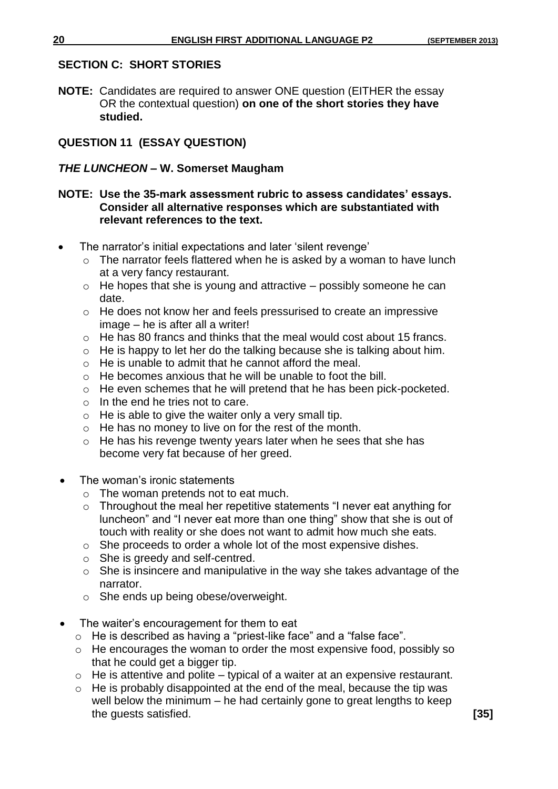#### **SECTION C: SHORT STORIES**

**NOTE:** Candidates are required to answer ONE question (EITHER the essay OR the contextual question) **on one of the short stories they have studied.**

### **QUESTION 11 (ESSAY QUESTION)**

#### *THE LUNCHEON –* **W. Somerset Maugham**

#### **NOTE: Use the 35-mark assessment rubric to assess candidates' essays. Consider all alternative responses which are substantiated with relevant references to the text.**

- The narrator's initial expectations and later 'silent revenge'
	- $\circ$  The narrator feels flattered when he is asked by a woman to have lunch at a very fancy restaurant.
	- $\circ$  He hopes that she is young and attractive possibly someone he can date.
	- o He does not know her and feels pressurised to create an impressive image – he is after all a writer!
	- o He has 80 francs and thinks that the meal would cost about 15 francs.
	- o He is happy to let her do the talking because she is talking about him.
	- o He is unable to admit that he cannot afford the meal.
	- o He becomes anxious that he will be unable to foot the bill.
	- o He even schemes that he will pretend that he has been pick-pocketed.
	- $\circ$  In the end he tries not to care.
	- $\circ$  He is able to give the waiter only a very small tip.
	- o He has no money to live on for the rest of the month.
	- o He has his revenge twenty years later when he sees that she has become very fat because of her greed.
- The woman's ironic statements
	- o The woman pretends not to eat much.
	- $\circ$  Throughout the meal her repetitive statements "I never eat anything for luncheon" and "I never eat more than one thing" show that she is out of touch with reality or she does not want to admit how much she eats.
	- o She proceeds to order a whole lot of the most expensive dishes.
	- o She is greedy and self-centred.
	- $\circ$  She is insincere and manipulative in the way she takes advantage of the narrator.
	- o She ends up being obese/overweight.
- The waiter's encouragement for them to eat
	- o He is described as having a "priest-like face" and a "false face".
	- o He encourages the woman to order the most expensive food, possibly so that he could get a bigger tip.
	- $\circ$  He is attentive and polite typical of a waiter at an expensive restaurant.
	- o He is probably disappointed at the end of the meal, because the tip was well below the minimum – he had certainly gone to great lengths to keep the guests satisfied. **[35]**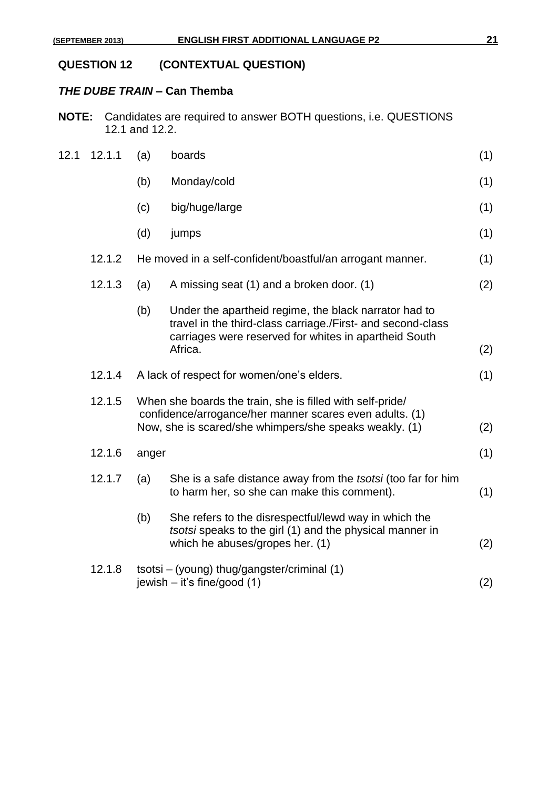# **QUESTION 12 (CONTEXTUAL QUESTION)**

## *THE DUBE TRAIN –* **Can Themba**

**NOTE:** Candidates are required to answer BOTH questions, i.e. QUESTIONS 12.1 and 12.2.

| 12.1 | 12.1.1 | (a)   | boards                                                                                                                                                                                   | (1) |
|------|--------|-------|------------------------------------------------------------------------------------------------------------------------------------------------------------------------------------------|-----|
|      |        | (b)   | Monday/cold                                                                                                                                                                              | (1) |
|      |        | (c)   | big/huge/large                                                                                                                                                                           | (1) |
|      |        | (d)   | jumps                                                                                                                                                                                    | (1) |
|      | 12.1.2 |       | He moved in a self-confident/boastful/an arrogant manner.                                                                                                                                | (1) |
|      | 12.1.3 | (a)   | A missing seat (1) and a broken door. (1)                                                                                                                                                | (2) |
|      |        | (b)   | Under the apartheid regime, the black narrator had to<br>travel in the third-class carriage./First- and second-class<br>carriages were reserved for whites in apartheid South<br>Africa. | (2) |
|      | 12.1.4 |       | A lack of respect for women/one's elders.                                                                                                                                                | (1) |
|      | 12.1.5 |       | When she boards the train, she is filled with self-pride/<br>confidence/arrogance/her manner scares even adults. (1)<br>Now, she is scared/she whimpers/she speaks weakly. (1)           | (2) |
|      | 12.1.6 | anger |                                                                                                                                                                                          | (1) |
|      | 12.1.7 | (a)   | She is a safe distance away from the tsotsi (too far for him<br>to harm her, so she can make this comment).                                                                              | (1) |
|      |        | (b)   | She refers to the disrespectful/lewd way in which the<br>tsotsi speaks to the girl (1) and the physical manner in<br>which he abuses/gropes her. (1)                                     | (2) |
|      | 12.1.8 |       | tsotsi – (young) thug/gangster/criminal (1)<br>jewish $-$ it's fine/good (1)                                                                                                             | (2) |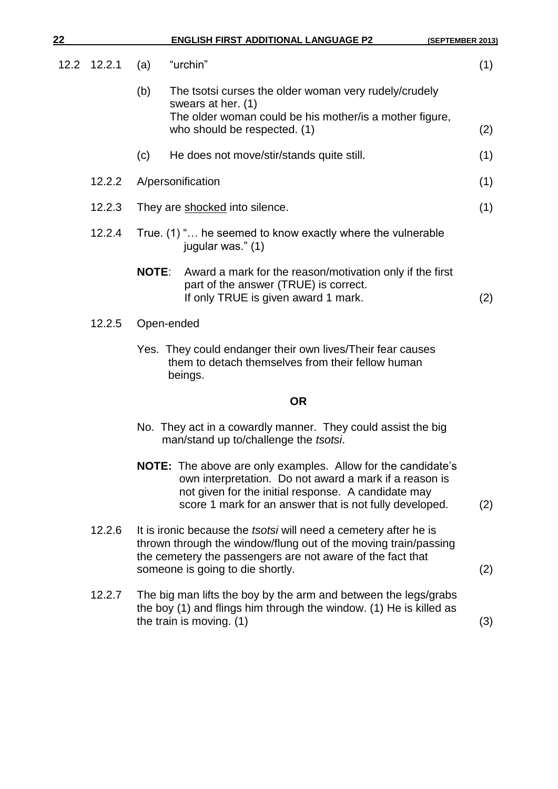| 22   |        |              | <b>ENGLISH FIRST ADDITIONAL LANGUAGE P2</b>                                                                                                                                                                                                     | (SEPTEMBER 2013) |
|------|--------|--------------|-------------------------------------------------------------------------------------------------------------------------------------------------------------------------------------------------------------------------------------------------|------------------|
| 12.2 | 12.2.1 | (a)          | "urchin"                                                                                                                                                                                                                                        | (1)              |
|      |        | (b)          | The tsotsi curses the older woman very rudely/crudely<br>swears at her. (1)<br>The older woman could be his mother/ is a mother figure,<br>who should be respected. (1)                                                                         |                  |
|      |        |              |                                                                                                                                                                                                                                                 | (2)              |
|      |        | (c)          | He does not move/stir/stands quite still.                                                                                                                                                                                                       | (1)              |
|      | 12.2.2 |              | A/personification                                                                                                                                                                                                                               | (1)              |
|      | 12.2.3 |              | They are shocked into silence.                                                                                                                                                                                                                  | (1)              |
|      | 12.2.4 |              | True. (1) " he seemed to know exactly where the vulnerable<br>jugular was." (1)                                                                                                                                                                 |                  |
|      |        | <b>NOTE:</b> | Award a mark for the reason/motivation only if the first<br>part of the answer (TRUE) is correct.<br>If only TRUE is given award 1 mark.                                                                                                        | (2)              |
|      | 12.2.5 | Open-ended   |                                                                                                                                                                                                                                                 |                  |
|      |        |              | Yes. They could endanger their own lives/Their fear causes<br>them to detach themselves from their fellow human<br>beings.                                                                                                                      |                  |
|      |        |              | <b>OR</b>                                                                                                                                                                                                                                       |                  |
|      |        |              | No. They act in a cowardly manner. They could assist the big<br>man/stand up to/challenge the tsotsi.                                                                                                                                           |                  |
|      |        |              | <b>NOTE:</b> The above are only examples. Allow for the candidate's<br>own interpretation. Do not award a mark if a reason is<br>not given for the initial response. A candidate may<br>score 1 mark for an answer that is not fully developed. | (2)              |
|      | 12.2.6 |              | It is ironic because the <i>tsotsi</i> will need a cemetery after he is<br>thrown through the window/flung out of the moving train/passing<br>the cemetery the passengers are not aware of the fact that<br>someone is going to die shortly.    | (2)              |

- 
- 12.2.7 The big man lifts the boy by the arm and between the legs/grabs the boy (1) and flings him through the window. (1) He is killed as the train is moving.  $(1)$  (3)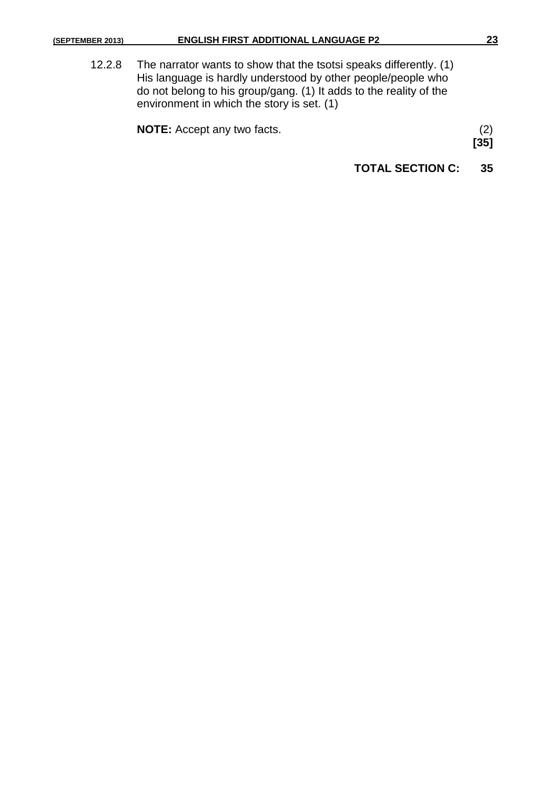12.2.8 The narrator wants to show that the tsotsi speaks differently. (1) His language is hardly understood by other people/people who do not belong to his group/gang. (1) It adds to the reality of the environment in which the story is set. (1)

| <b>NOTE:</b> Accept any two facts. |  |
|------------------------------------|--|
|                                    |  |

**[35]**

|  | <b>TOTAL SECTION C:</b> |  |
|--|-------------------------|--|
|--|-------------------------|--|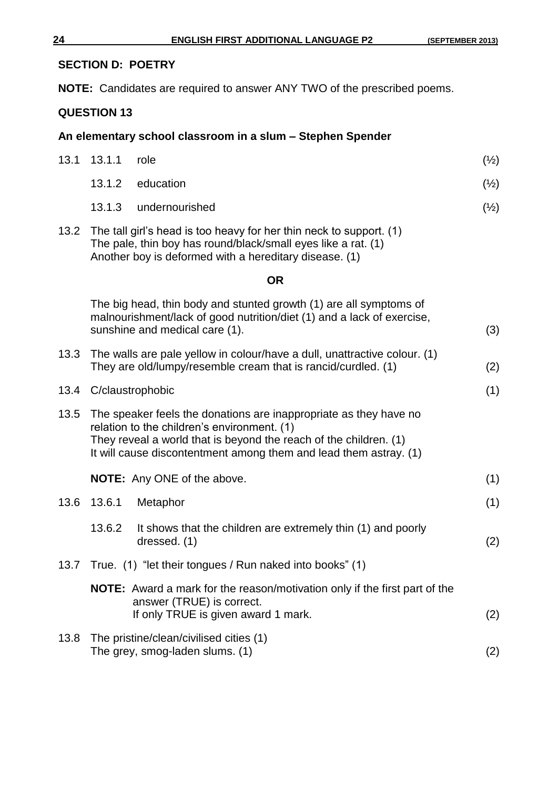#### **SECTION D: POETRY**

**NOTE:** Candidates are required to answer ANY TWO of the prescribed poems.

### **QUESTION 13**

#### **An elementary school classroom in a slum – Stephen Spender**

| 13.1 | 13.1.1           | role                                                                                                                                                                                                                                                       | $(\frac{1}{2})$ |
|------|------------------|------------------------------------------------------------------------------------------------------------------------------------------------------------------------------------------------------------------------------------------------------------|-----------------|
|      | 13.1.2           | education                                                                                                                                                                                                                                                  | $(\frac{1}{2})$ |
|      | 13.1.3           | undernourished                                                                                                                                                                                                                                             | $(\frac{1}{2})$ |
| 13.2 |                  | The tall girl's head is too heavy for her thin neck to support. (1)<br>The pale, thin boy has round/black/small eyes like a rat. (1)<br>Another boy is deformed with a hereditary disease. (1)                                                             |                 |
|      |                  | <b>OR</b>                                                                                                                                                                                                                                                  |                 |
|      |                  | The big head, thin body and stunted growth (1) are all symptoms of<br>malnourishment/lack of good nutrition/diet (1) and a lack of exercise,<br>sunshine and medical care (1).                                                                             | (3)             |
| 13.3 |                  | The walls are pale yellow in colour/have a dull, unattractive colour. (1)<br>They are old/lumpy/resemble cream that is rancid/curdled. (1)                                                                                                                 | (2)             |
| 13.4 | C/claustrophobic |                                                                                                                                                                                                                                                            | (1)             |
| 13.5 |                  | The speaker feels the donations are inappropriate as they have no<br>relation to the children's environment. (1)<br>They reveal a world that is beyond the reach of the children. (1)<br>It will cause discontentment among them and lead them astray. (1) |                 |
|      |                  | <b>NOTE:</b> Any ONE of the above.                                                                                                                                                                                                                         | (1)             |
| 13.6 | 13.6.1           | Metaphor                                                                                                                                                                                                                                                   | (1)             |
|      | 13.6.2           | It shows that the children are extremely thin (1) and poorly<br>dressed. (1)                                                                                                                                                                               | (2)             |
|      |                  | 13.7 True. (1) "let their tongues / Run naked into books" (1)                                                                                                                                                                                              |                 |
|      |                  | NOTE: Award a mark for the reason/motivation only if the first part of the<br>answer (TRUE) is correct.<br>If only TRUE is given award 1 mark.                                                                                                             | (2)             |
| 13.8 |                  | The pristine/clean/civilised cities (1)<br>The grey, smog-laden slums. (1)                                                                                                                                                                                 | (2)             |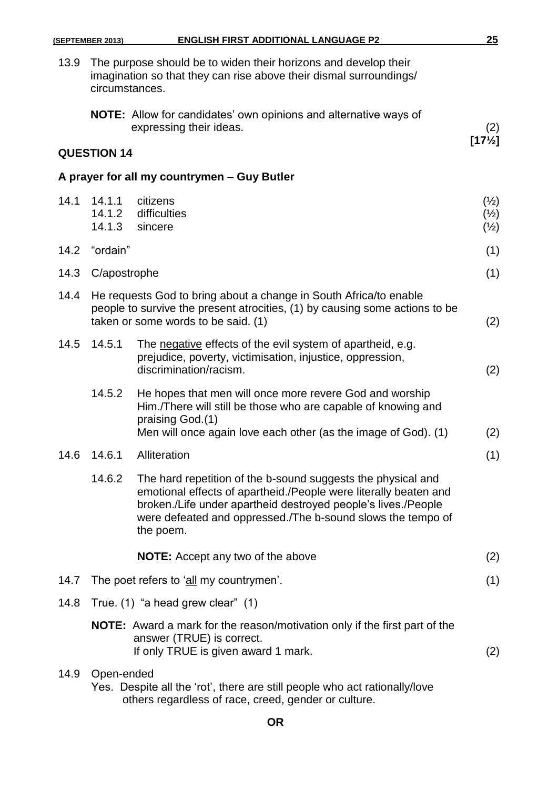|      | (SEPTEMBER 2013)           | <b>ENGLISH FIRST ADDITIONAL LANGUAGE P2</b>                                                                                                                                                                                                                                   | 25                                                    |
|------|----------------------------|-------------------------------------------------------------------------------------------------------------------------------------------------------------------------------------------------------------------------------------------------------------------------------|-------------------------------------------------------|
| 13.9 | circumstances.             | The purpose should be to widen their horizons and develop their<br>imagination so that they can rise above their dismal surroundings/                                                                                                                                         |                                                       |
|      |                            | <b>NOTE:</b> Allow for candidates' own opinions and alternative ways of<br>expressing their ideas.                                                                                                                                                                            | (2)                                                   |
|      | <b>QUESTION 14</b>         |                                                                                                                                                                                                                                                                               | $[17\frac{1}{2}]$                                     |
|      |                            | A prayer for all my countrymen - Guy Butler                                                                                                                                                                                                                                   |                                                       |
| 14.1 | 14.1.1<br>14.1.2<br>14.1.3 | citizens<br>difficulties<br>sincere                                                                                                                                                                                                                                           | $(\frac{1}{2})$<br>$(\frac{1}{2})$<br>$(\frac{1}{2})$ |
| 14.2 | "ordain"                   |                                                                                                                                                                                                                                                                               | (1)                                                   |
| 14.3 | C/apostrophe               |                                                                                                                                                                                                                                                                               | (1)                                                   |
| 14.4 |                            | He requests God to bring about a change in South Africa/to enable<br>people to survive the present atrocities, (1) by causing some actions to be<br>taken or some words to be said. (1)                                                                                       | (2)                                                   |
| 14.5 | 14.5.1                     | The negative effects of the evil system of apartheid, e.g.<br>prejudice, poverty, victimisation, injustice, oppression,<br>discrimination/racism.                                                                                                                             | (2)                                                   |
|      | 14.5.2                     | He hopes that men will once more revere God and worship<br>Him./There will still be those who are capable of knowing and<br>praising God.(1)<br>Men will once again love each other (as the image of God). (1)                                                                | (2)                                                   |
| 14.6 | 14.6.1                     | Alliteration                                                                                                                                                                                                                                                                  | (1)                                                   |
|      | 14.6.2                     | The hard repetition of the b-sound suggests the physical and<br>emotional effects of apartheid./People were literally beaten and<br>broken./Life under apartheid destroyed people's lives./People<br>were defeated and oppressed./The b-sound slows the tempo of<br>the poem. |                                                       |
|      |                            | <b>NOTE:</b> Accept any two of the above                                                                                                                                                                                                                                      | (2)                                                   |
| 14.7 |                            | The poet refers to 'all my countrymen'.                                                                                                                                                                                                                                       | (1)                                                   |
| 14.8 |                            | True. (1) "a head grew clear" (1)                                                                                                                                                                                                                                             |                                                       |
|      |                            | <b>NOTE:</b> Award a mark for the reason/motivation only if the first part of the<br>answer (TRUE) is correct.<br>If only TRUE is given award 1 mark.                                                                                                                         | (2)                                                   |
| 14.9 | Open-ended                 | Yes. Despite all the 'rot', there are still people who act rationally/love                                                                                                                                                                                                    |                                                       |

others regardless of race, creed, gender or culture.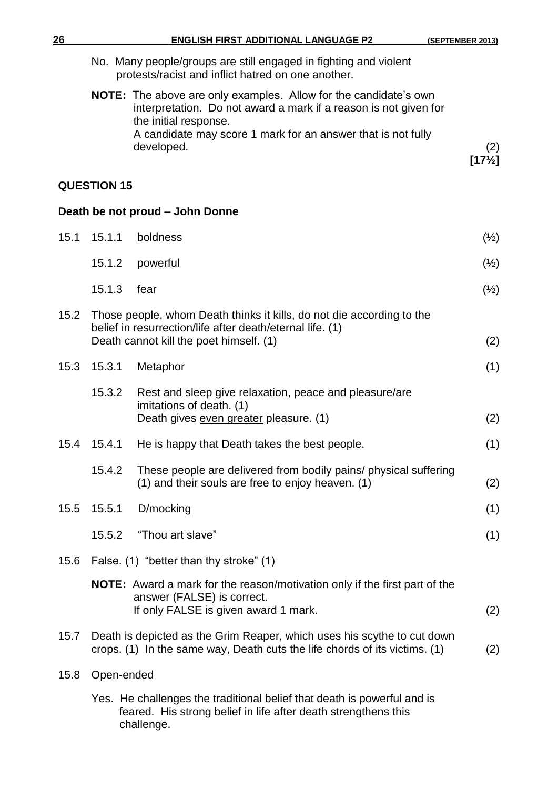| 26   |                    | <b>ENGLISH FIRST ADDITIONAL LANGUAGE P2</b>                                                                                                                          | (SEPTEMBER 2013)         |
|------|--------------------|----------------------------------------------------------------------------------------------------------------------------------------------------------------------|--------------------------|
|      |                    | No. Many people/groups are still engaged in fighting and violent<br>protests/racist and inflict hatred on one another.                                               |                          |
|      |                    | <b>NOTE:</b> The above are only examples. Allow for the candidate's own<br>interpretation. Do not award a mark if a reason is not given for<br>the initial response. |                          |
|      |                    | A candidate may score 1 mark for an answer that is not fully                                                                                                         |                          |
|      |                    | developed.                                                                                                                                                           | (2)<br>$[17\frac{1}{2}]$ |
|      | <b>QUESTION 15</b> |                                                                                                                                                                      |                          |
|      |                    | Death be not proud - John Donne                                                                                                                                      |                          |
| 15.1 | 15.1.1             | boldness                                                                                                                                                             | $(\frac{1}{2})$          |
|      | 15.1.2             | powerful                                                                                                                                                             | $(\frac{1}{2})$          |
|      | 15.1.3             | fear                                                                                                                                                                 | $(\frac{1}{2})$          |
| 15.2 |                    | Those people, whom Death thinks it kills, do not die according to the                                                                                                |                          |
|      |                    | belief in resurrection/life after death/eternal life. (1)<br>Death cannot kill the poet himself. (1)                                                                 | (2)                      |
| 15.3 | 15.3.1             | Metaphor                                                                                                                                                             | (1)                      |
|      | 15.3.2             | Rest and sleep give relaxation, peace and pleasure/are<br>imitations of death. (1)<br>Death gives even greater pleasure. (1)                                         | (2)                      |
|      | 15.4 15.4.1        | He is happy that Death takes the best people.                                                                                                                        | (1)                      |
|      | 15.4.2             | These people are delivered from bodily pains/ physical suffering<br>(1) and their souls are free to enjoy heaven. (1)                                                | (2)                      |
| 15.5 | 15.5.1             | D/mocking                                                                                                                                                            | (1)                      |
|      | 15.5.2             | "Thou art slave"                                                                                                                                                     | (1)                      |
| 15.6 |                    | False. (1) "better than thy stroke" (1)                                                                                                                              |                          |
|      |                    | <b>NOTE:</b> Award a mark for the reason/motivation only if the first part of the<br>answer (FALSE) is correct.<br>If only FALSE is given award 1 mark.              | (2)                      |
| 15.7 |                    | Death is depicted as the Grim Reaper, which uses his scythe to cut down<br>crops. (1) In the same way, Death cuts the life chords of its victims. (1)                | (2)                      |
| 15.8 | Open-ended         |                                                                                                                                                                      |                          |
|      |                    | Yes. He challenges the traditional belief that death is powerful and is<br>feared. His strong belief in life after death strengthens this<br>challenge.              |                          |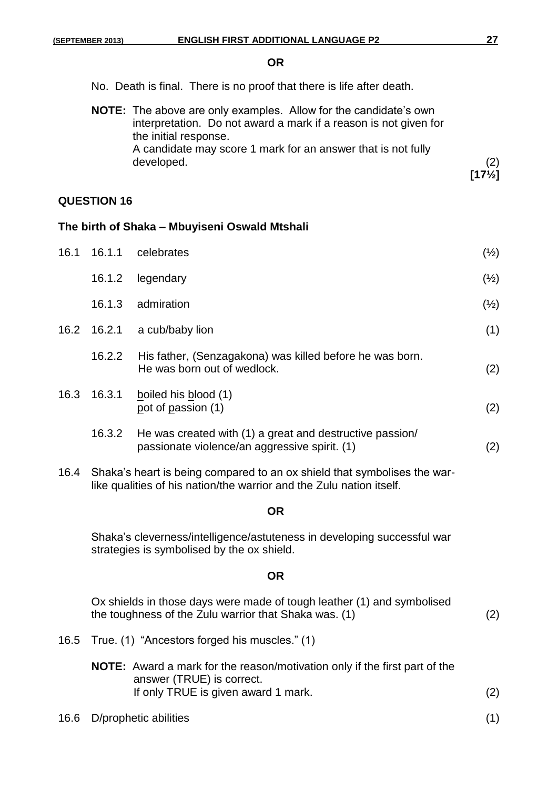#### **OR**

No. Death is final. There is no proof that there is life after death.

| <b>NOTE:</b> The above are only examples. Allow for the candidate's own |                   |
|-------------------------------------------------------------------------|-------------------|
| interpretation. Do not award a mark if a reason is not given for        |                   |
| the initial response.                                                   |                   |
| A candidate may score 1 mark for an answer that is not fully            |                   |
| developed.                                                              | (2)               |
|                                                                         | $[17\frac{1}{2}]$ |

#### **QUESTION 16**

#### **The birth of Shaka – Mbuyiseni Oswald Mtshali**

| 16.1 | 16.1.1      | celebrates                                                                                                | $(\frac{1}{2})$ |
|------|-------------|-----------------------------------------------------------------------------------------------------------|-----------------|
|      | 16.1.2      | legendary                                                                                                 | $(\frac{1}{2})$ |
|      | 16.1.3      | admiration                                                                                                | $(\frac{1}{2})$ |
|      | 16.2 16.2.1 | a cub/baby lion                                                                                           | (1)             |
|      | 16.2.2      | His father, (Senzagakona) was killed before he was born.<br>He was born out of wedlock.                   | (2)             |
| 16.3 | 16.3.1      | boiled his blood (1)<br>pot of passion (1)                                                                | (2)             |
|      | 16.3.2      | He was created with (1) a great and destructive passion/<br>passionate violence/an aggressive spirit. (1) | (2)             |

16.4 Shaka's heart is being compared to an ox shield that symbolises the warlike qualities of his nation/the warrior and the Zulu nation itself.

#### **OR**

Shaka's cleverness/intelligence/astuteness in developing successful war strategies is symbolised by the ox shield.

#### **OR**

Ox shields in those days were made of tough leather (1) and symbolised the toughness of the Zulu warrior that Shaka was. (1) (2)

16.5 True. (1) "Ancestors forged his muscles." (1)

| <b>NOTE:</b> Award a mark for the reason/motivation only if the first part of the |     |  |  |
|-----------------------------------------------------------------------------------|-----|--|--|
| answer (TRUE) is correct.                                                         |     |  |  |
| If only TRUE is given award 1 mark.                                               | (2) |  |  |
|                                                                                   |     |  |  |

16.6 D/prophetic abilities (1)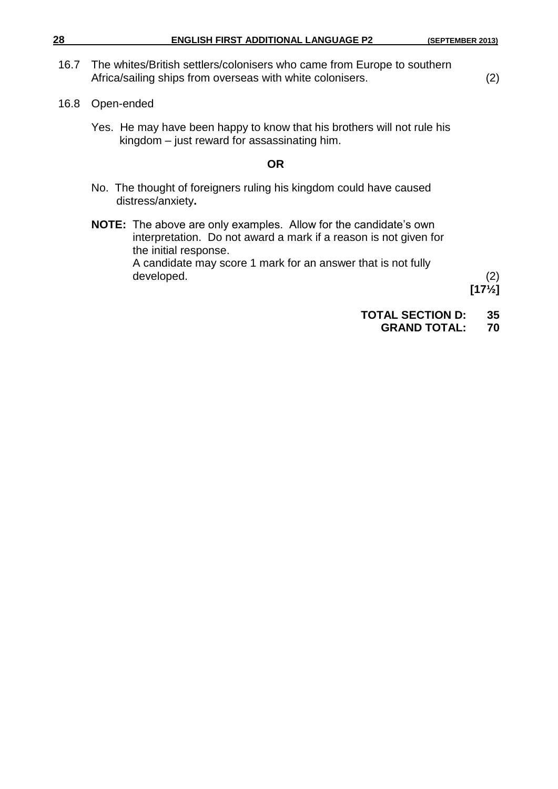| 28<br><b>ENGLISH FIRST ADDITIONAL LANGUAGE P2</b> | (SEPTEMBER 2013) |
|---------------------------------------------------|------------------|
|---------------------------------------------------|------------------|

- 16.7 The whites/British settlers/colonisers who came from Europe to southern Africa/sailing ships from overseas with white colonisers. (2)
- 16.8 Open-ended
	- Yes. He may have been happy to know that his brothers will not rule his kingdom – just reward for assassinating him.

#### **OR**

- No. The thought of foreigners ruling his kingdom could have caused distress/anxiety**.**
- **NOTE:** The above are only examples. Allow for the candidate's own interpretation. Do not award a mark if a reason is not given for the initial response. A candidate may score 1 mark for an answer that is not fully developed. (2)

**[17½]**

- **TOTAL SECTION D: 35**
	- **GRAND TOTAL: 70**